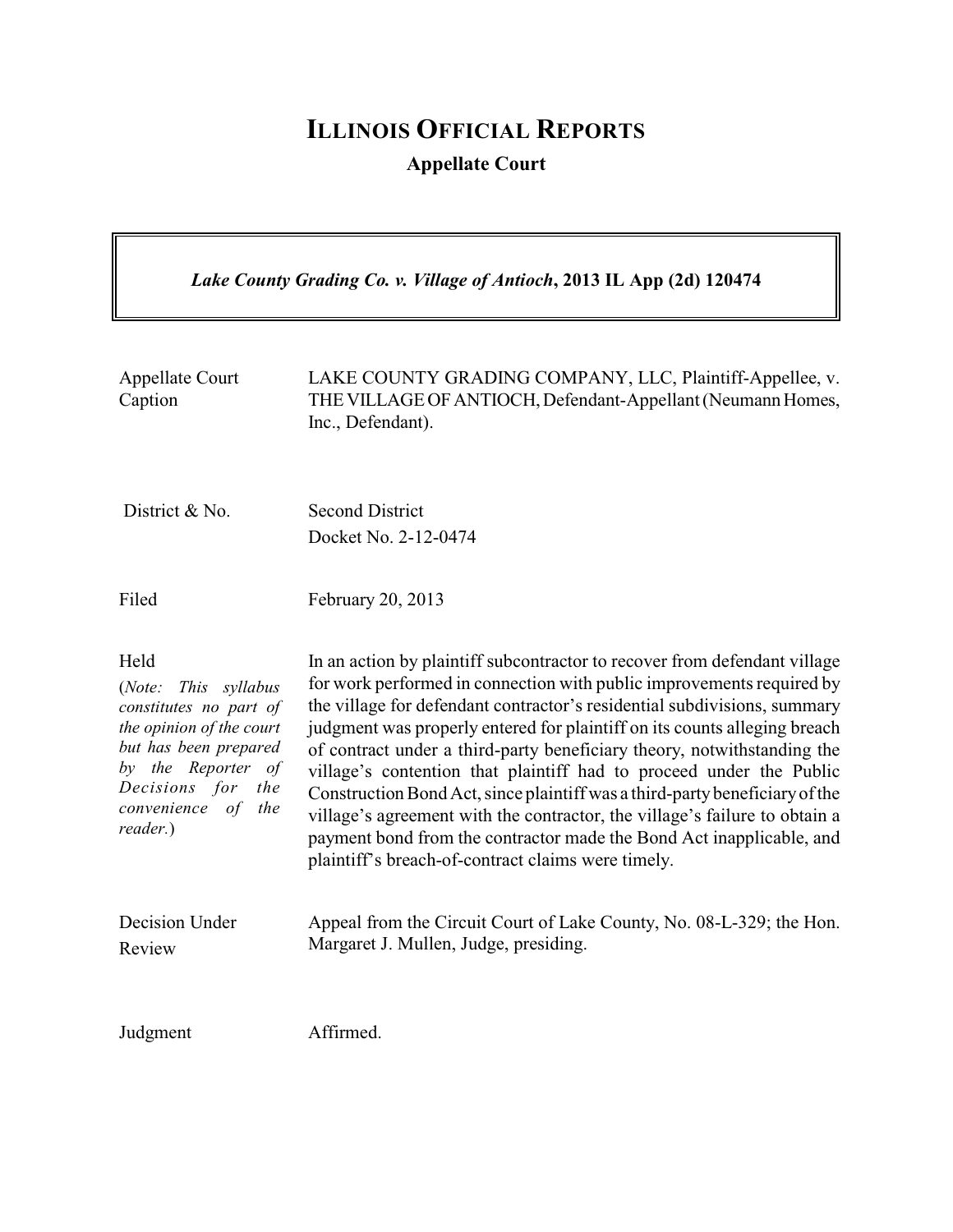## **ILLINOIS OFFICIAL REPORTS Appellate Court**

 $\overline{\mathbf{a}}$ 

| Lake County Grading Co. v. Village of Antioch, 2013 IL App (2d) 120474                                                                                                                            |                                                                                                                                                                                                                                                                                                                                                                                                                                                                                                                                                                                                                                                                                                                                                          |  |
|---------------------------------------------------------------------------------------------------------------------------------------------------------------------------------------------------|----------------------------------------------------------------------------------------------------------------------------------------------------------------------------------------------------------------------------------------------------------------------------------------------------------------------------------------------------------------------------------------------------------------------------------------------------------------------------------------------------------------------------------------------------------------------------------------------------------------------------------------------------------------------------------------------------------------------------------------------------------|--|
| <b>Appellate Court</b><br>Caption                                                                                                                                                                 | LAKE COUNTY GRADING COMPANY, LLC, Plaintiff-Appellee, v.<br>THE VILLAGE OF ANTIOCH, Defendant-Appellant (Neumann Homes,<br>Inc., Defendant).                                                                                                                                                                                                                                                                                                                                                                                                                                                                                                                                                                                                             |  |
| District & No.                                                                                                                                                                                    | <b>Second District</b><br>Docket No. 2-12-0474                                                                                                                                                                                                                                                                                                                                                                                                                                                                                                                                                                                                                                                                                                           |  |
| Filed                                                                                                                                                                                             | February 20, 2013                                                                                                                                                                                                                                                                                                                                                                                                                                                                                                                                                                                                                                                                                                                                        |  |
| Held<br>This syllabus<br>(Note:<br>constitutes no part of<br>the opinion of the court<br>but has been prepared<br>by the Reporter of<br>Decisions for<br>the<br>convenience of<br>the<br>reader.) | In an action by plaintiff subcontractor to recover from defendant village<br>for work performed in connection with public improvements required by<br>the village for defendant contractor's residential subdivisions, summary<br>judgment was properly entered for plaintiff on its counts alleging breach<br>of contract under a third-party beneficiary theory, notwithstanding the<br>village's contention that plaintiff had to proceed under the Public<br>Construction Bond Act, since plaintiff was a third-party beneficiary of the<br>village's agreement with the contractor, the village's failure to obtain a<br>payment bond from the contractor made the Bond Act inapplicable, and<br>plaintiff's breach-of-contract claims were timely. |  |
| Decision Under<br>Review                                                                                                                                                                          | Appeal from the Circuit Court of Lake County, No. 08-L-329; the Hon.<br>Margaret J. Mullen, Judge, presiding.                                                                                                                                                                                                                                                                                                                                                                                                                                                                                                                                                                                                                                            |  |
| Judgment                                                                                                                                                                                          | Affirmed.                                                                                                                                                                                                                                                                                                                                                                                                                                                                                                                                                                                                                                                                                                                                                |  |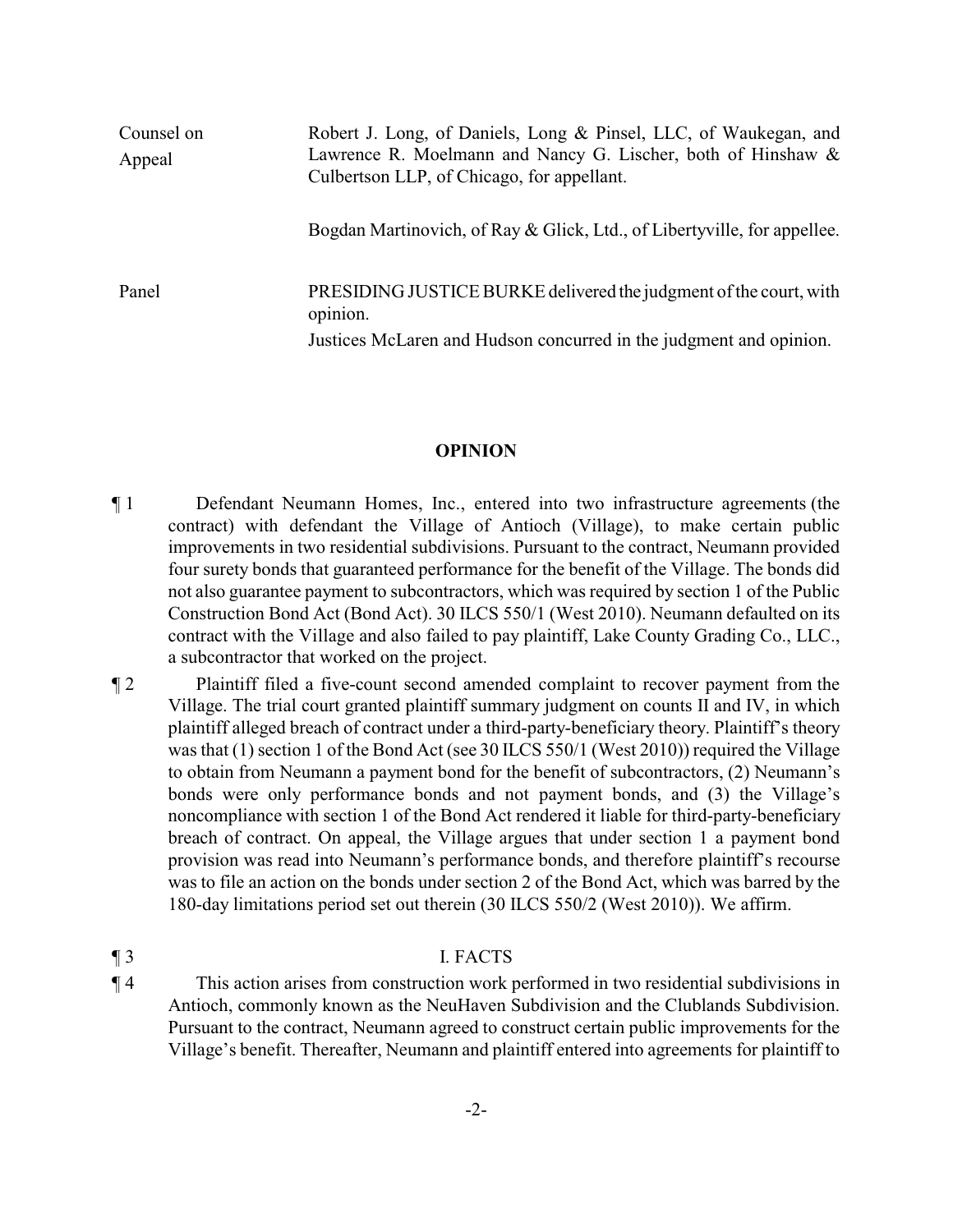| Counsel on<br>Appeal | Robert J. Long, of Daniels, Long & Pinsel, LLC, of Waukegan, and<br>Lawrence R. Moelmann and Nancy G. Lischer, both of Hinshaw &<br>Culbertson LLP, of Chicago, for appellant. |
|----------------------|--------------------------------------------------------------------------------------------------------------------------------------------------------------------------------|
|                      | Bogdan Martinovich, of Ray & Glick, Ltd., of Libertyville, for appellee.                                                                                                       |
| Panel                | PRESIDING JUSTICE BURKE delivered the judgment of the court, with<br>opinion.<br>Justices McLaren and Hudson concurred in the judgment and opinion.                            |

## **OPINION**

- ¶ 1 Defendant Neumann Homes, Inc., entered into two infrastructure agreements (the contract) with defendant the Village of Antioch (Village), to make certain public improvements in two residential subdivisions. Pursuant to the contract, Neumann provided four surety bonds that guaranteed performance for the benefit of the Village. The bonds did not also guarantee payment to subcontractors, which was required by section 1 of the Public Construction Bond Act (Bond Act). 30 ILCS 550/1 (West 2010). Neumann defaulted on its contract with the Village and also failed to pay plaintiff, Lake County Grading Co., LLC., a subcontractor that worked on the project.
- ¶ 2 Plaintiff filed a five-count second amended complaint to recover payment from the Village. The trial court granted plaintiff summary judgment on counts II and IV, in which plaintiff alleged breach of contract under a third-party-beneficiary theory. Plaintiff's theory was that (1) section 1 of the Bond Act (see 30 ILCS 550/1 (West 2010)) required the Village to obtain from Neumann a payment bond for the benefit of subcontractors, (2) Neumann's bonds were only performance bonds and not payment bonds, and (3) the Village's noncompliance with section 1 of the Bond Act rendered it liable for third-party-beneficiary breach of contract. On appeal, the Village argues that under section 1 a payment bond provision was read into Neumann's performance bonds, and therefore plaintiff's recourse was to file an action on the bonds under section 2 of the Bond Act, which was barred by the 180-day limitations period set out therein (30 ILCS 550/2 (West 2010)). We affirm.

## ¶ 3 I. FACTS

¶ 4 This action arises from construction work performed in two residential subdivisions in Antioch, commonly known as the NeuHaven Subdivision and the Clublands Subdivision. Pursuant to the contract, Neumann agreed to construct certain public improvements for the Village's benefit. Thereafter, Neumann and plaintiff entered into agreements for plaintiff to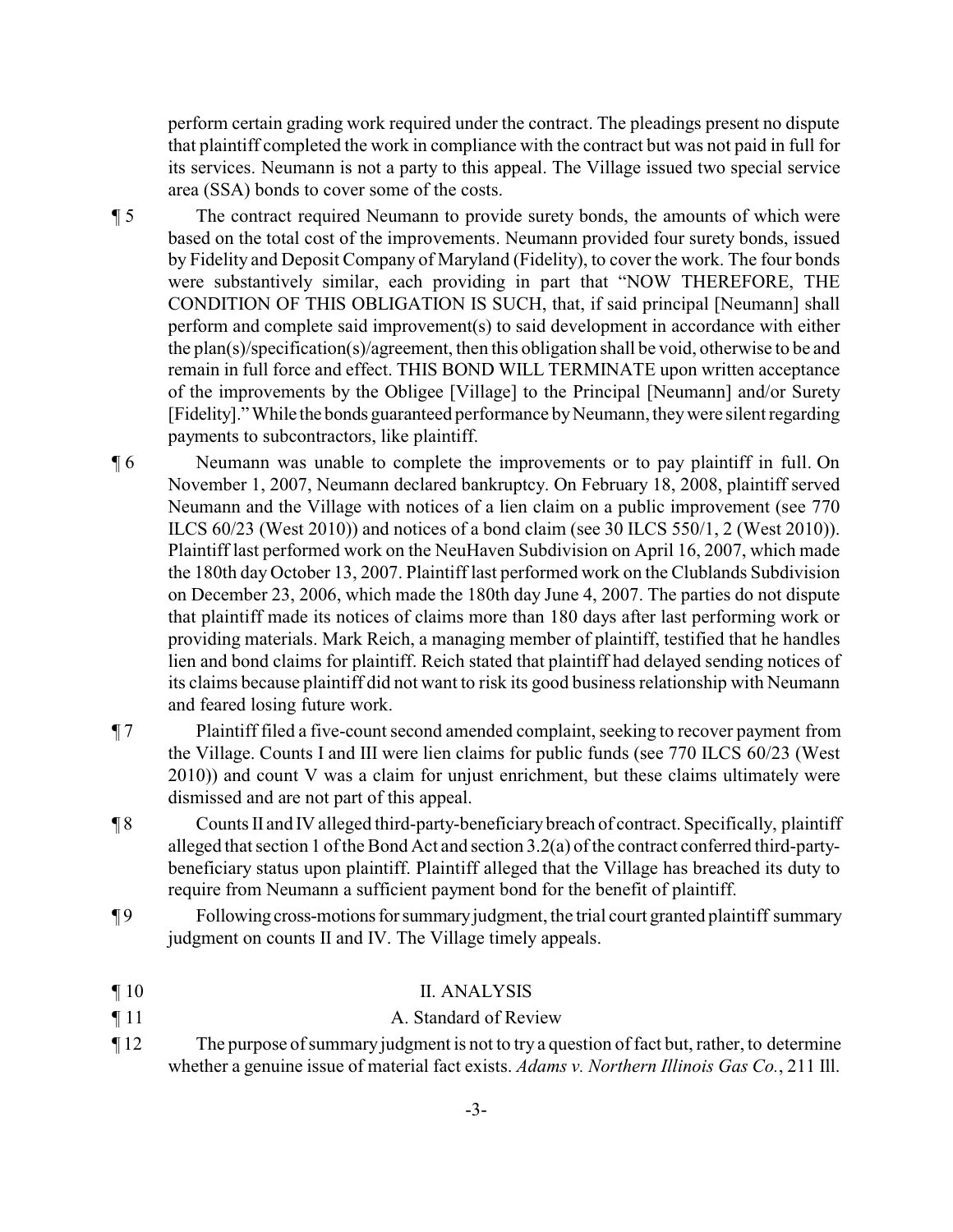perform certain grading work required under the contract. The pleadings present no dispute that plaintiff completed the work in compliance with the contract but was not paid in full for its services. Neumann is not a party to this appeal. The Village issued two special service area (SSA) bonds to cover some of the costs.

¶ 5 The contract required Neumann to provide surety bonds, the amounts of which were based on the total cost of the improvements. Neumann provided four surety bonds, issued by Fidelity and Deposit Company of Maryland (Fidelity), to cover the work. The four bonds were substantively similar, each providing in part that "NOW THEREFORE, THE CONDITION OF THIS OBLIGATION IS SUCH, that, if said principal [Neumann] shall perform and complete said improvement(s) to said development in accordance with either the plan(s)/specification(s)/agreement, then this obligation shall be void, otherwise to be and remain in full force and effect. THIS BOND WILL TERMINATE upon written acceptance of the improvements by the Obligee [Village] to the Principal [Neumann] and/or Surety [Fidelity]." While the bonds guaranteed performance by Neumann, they were silent regarding payments to subcontractors, like plaintiff.

- ¶ 6 Neumann was unable to complete the improvements or to pay plaintiff in full. On November 1, 2007, Neumann declared bankruptcy. On February 18, 2008, plaintiff served Neumann and the Village with notices of a lien claim on a public improvement (see 770 ILCS 60/23 (West 2010)) and notices of a bond claim (see 30 ILCS 550/1, 2 (West 2010)). Plaintiff last performed work on the NeuHaven Subdivision on April 16, 2007, which made the 180th day October 13, 2007. Plaintiff last performed work on the Clublands Subdivision on December 23, 2006, which made the 180th day June 4, 2007. The parties do not dispute that plaintiff made its notices of claims more than 180 days after last performing work or providing materials. Mark Reich, a managing member of plaintiff, testified that he handles lien and bond claims for plaintiff. Reich stated that plaintiff had delayed sending notices of its claims because plaintiff did not want to risk its good business relationship with Neumann and feared losing future work.
- ¶ 7 Plaintiff filed a five-count second amended complaint, seeking to recover payment from the Village. Counts I and III were lien claims for public funds (see 770 ILCS 60/23 (West 2010)) and count V was a claim for unjust enrichment, but these claims ultimately were dismissed and are not part of this appeal.
- ¶ 8 Counts II and IV alleged third-party-beneficiary breach of contract. Specifically, plaintiff alleged that section 1 of the Bond Act and section 3.2(a) of the contract conferred third-partybeneficiary status upon plaintiff. Plaintiff alleged that the Village has breached its duty to require from Neumann a sufficient payment bond for the benefit of plaintiff.
- ¶ 9 Following cross-motionsforsummaryjudgment, the trial court granted plaintiff summary judgment on counts II and IV. The Village timely appeals.
- ¶ 10 II. ANALYSIS
- ¶ 11 A. Standard of Review
- ¶ 12 The purpose of summaryjudgment is not to try a question of fact but, rather, to determine whether a genuine issue of material fact exists. *Adams v. Northern Illinois Gas Co.*, 211 Ill.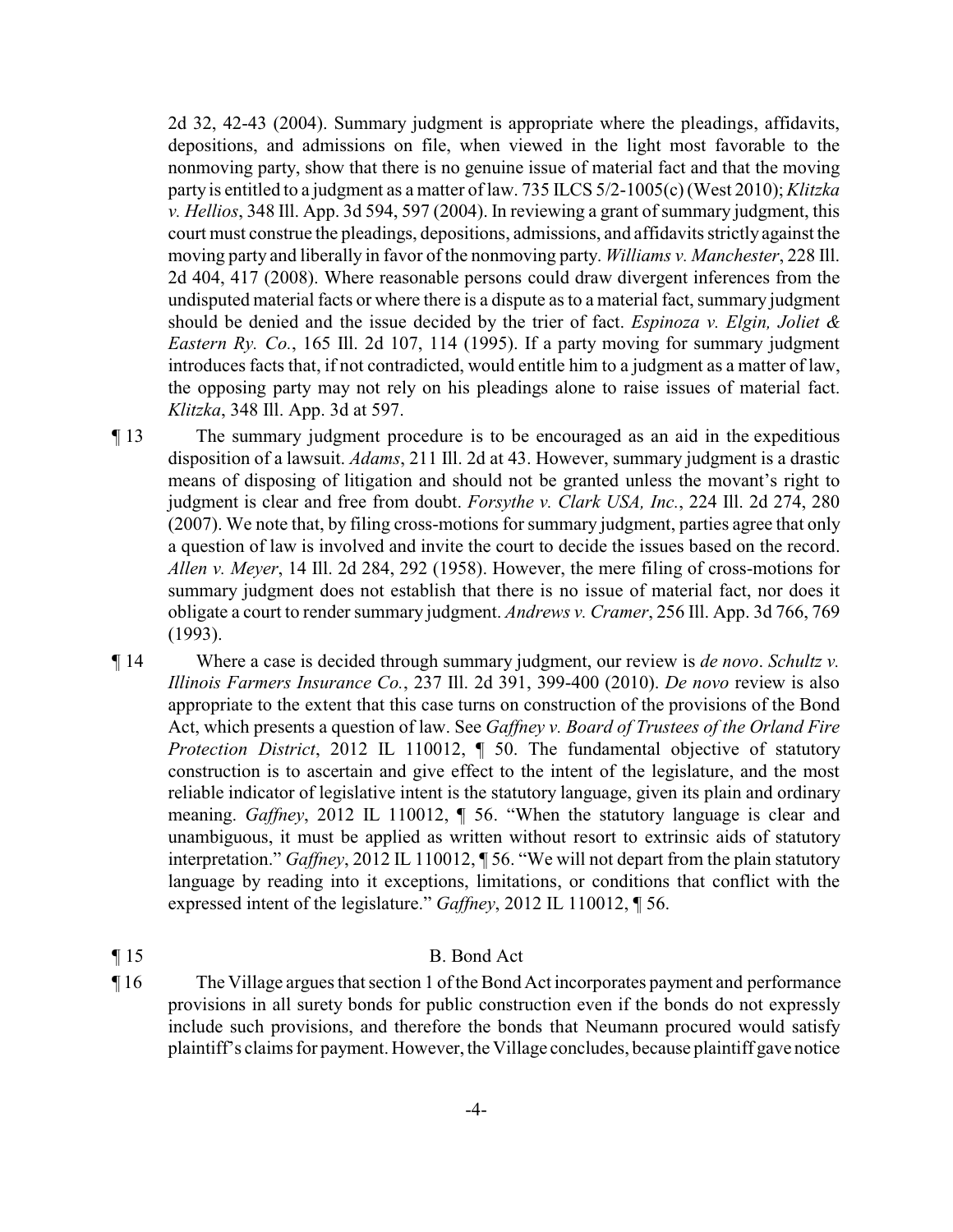2d 32, 42-43 (2004). Summary judgment is appropriate where the pleadings, affidavits, depositions, and admissions on file, when viewed in the light most favorable to the nonmoving party, show that there is no genuine issue of material fact and that the moving party is entitled to a judgment as a matter of law. 735 ILCS 5/2-1005(c)(West 2010); *Klitzka v. Hellios*, 348 Ill. App. 3d 594, 597 (2004). In reviewing a grant of summary judgment, this court must construe the pleadings, depositions, admissions, and affidavits strictly against the moving party and liberally in favor of the nonmoving party. *Williams v. Manchester*, 228 Ill. 2d 404, 417 (2008). Where reasonable persons could draw divergent inferences from the undisputed material facts or where there is a dispute as to a material fact, summary judgment should be denied and the issue decided by the trier of fact. *Espinoza v. Elgin, Joliet & Eastern Ry. Co.*, 165 Ill. 2d 107, 114 (1995). If a party moving for summary judgment introduces facts that, if not contradicted, would entitle him to a judgment as a matter of law, the opposing party may not rely on his pleadings alone to raise issues of material fact. *Klitzka*, 348 Ill. App. 3d at 597.

- ¶ 13 The summary judgment procedure is to be encouraged as an aid in the expeditious disposition of a lawsuit. *Adams*, 211 Ill. 2d at 43. However, summary judgment is a drastic means of disposing of litigation and should not be granted unless the movant's right to judgment is clear and free from doubt. *Forsythe v. Clark USA, Inc.*, 224 Ill. 2d 274, 280 (2007). We note that, by filing cross-motions for summary judgment, parties agree that only a question of law is involved and invite the court to decide the issues based on the record. *Allen v. Meyer*, 14 Ill. 2d 284, 292 (1958). However, the mere filing of cross-motions for summary judgment does not establish that there is no issue of material fact, nor does it obligate a court to render summary judgment. *Andrews v. Cramer*, 256 Ill. App. 3d 766, 769 (1993).
- ¶ 14 Where a case is decided through summary judgment, our review is *de novo*. *Schultz v. Illinois Farmers Insurance Co.*, 237 Ill. 2d 391, 399-400 (2010). *De novo* review is also appropriate to the extent that this case turns on construction of the provisions of the Bond Act, which presents a question of law. See *Gaffney v. Board of Trustees of the Orland Fire Protection District*, 2012 IL 110012, ¶ 50. The fundamental objective of statutory construction is to ascertain and give effect to the intent of the legislature, and the most reliable indicator of legislative intent is the statutory language, given its plain and ordinary meaning. *Gaffney*, 2012 IL 110012, ¶ 56. "When the statutory language is clear and unambiguous, it must be applied as written without resort to extrinsic aids of statutory interpretation." *Gaffney*, 2012 IL 110012, ¶ 56. "We will not depart from the plain statutory language by reading into it exceptions, limitations, or conditions that conflict with the expressed intent of the legislature." *Gaffney*, 2012 IL 110012, ¶ 56.
- ¶ 15 B. Bond Act
- ¶ 16 The Village argues that section 1 of the Bond Act incorporates payment and performance provisions in all surety bonds for public construction even if the bonds do not expressly include such provisions, and therefore the bonds that Neumann procured would satisfy plaintiff's claims for payment. However, the Village concludes, because plaintiff gave notice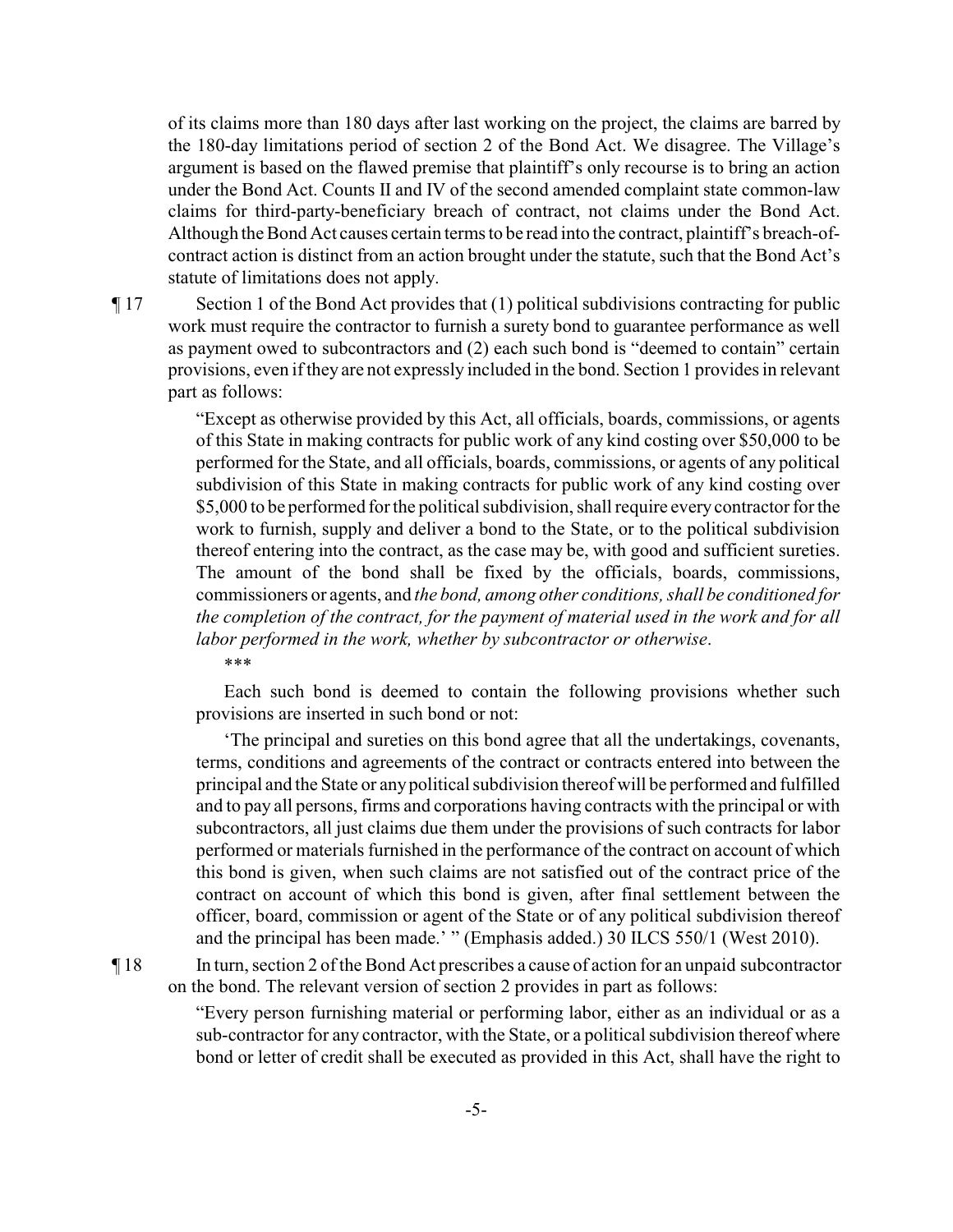of its claims more than 180 days after last working on the project, the claims are barred by the 180-day limitations period of section 2 of the Bond Act. We disagree. The Village's argument is based on the flawed premise that plaintiff's only recourse is to bring an action under the Bond Act. Counts II and IV of the second amended complaint state common-law claims for third-party-beneficiary breach of contract, not claims under the Bond Act. Although the Bond Act causes certain terms to be read into the contract, plaintiff's breach-ofcontract action is distinct from an action brought under the statute, such that the Bond Act's statute of limitations does not apply.

¶ 17 Section 1 of the Bond Act provides that (1) political subdivisions contracting for public work must require the contractor to furnish a surety bond to guarantee performance as well as payment owed to subcontractors and (2) each such bond is "deemed to contain" certain provisions, even if they are not expressly included in the bond. Section 1 provides in relevant part as follows:

> "Except as otherwise provided by this Act, all officials, boards, commissions, or agents of this State in making contracts for public work of any kind costing over \$50,000 to be performed for the State, and all officials, boards, commissions, or agents of any political subdivision of this State in making contracts for public work of any kind costing over \$5,000 to be performed for the political subdivision, shall require every contractor for the work to furnish, supply and deliver a bond to the State, or to the political subdivision thereof entering into the contract, as the case may be, with good and sufficient sureties. The amount of the bond shall be fixed by the officials, boards, commissions, commissioners or agents, and *the bond, among other conditions, shall be conditioned for the completion of the contract, for the payment of material used in the work and for all labor performed in the work, whether by subcontractor or otherwise*.

\*\*\*

Each such bond is deemed to contain the following provisions whether such provisions are inserted in such bond or not:

'The principal and sureties on this bond agree that all the undertakings, covenants, terms, conditions and agreements of the contract or contracts entered into between the principal and the State or anypolitical subdivision thereof will be performed and fulfilled and to pay all persons, firms and corporations having contracts with the principal or with subcontractors, all just claims due them under the provisions of such contracts for labor performed or materials furnished in the performance of the contract on account of which this bond is given, when such claims are not satisfied out of the contract price of the contract on account of which this bond is given, after final settlement between the officer, board, commission or agent of the State or of any political subdivision thereof and the principal has been made.' " (Emphasis added.) 30 ILCS 550/1 (West 2010).

¶ 18 In turn, section 2 of the Bond Act prescribes a cause of action for an unpaid subcontractor on the bond. The relevant version of section 2 provides in part as follows:

> "Every person furnishing material or performing labor, either as an individual or as a sub-contractor for any contractor, with the State, or a political subdivision thereof where bond or letter of credit shall be executed as provided in this Act, shall have the right to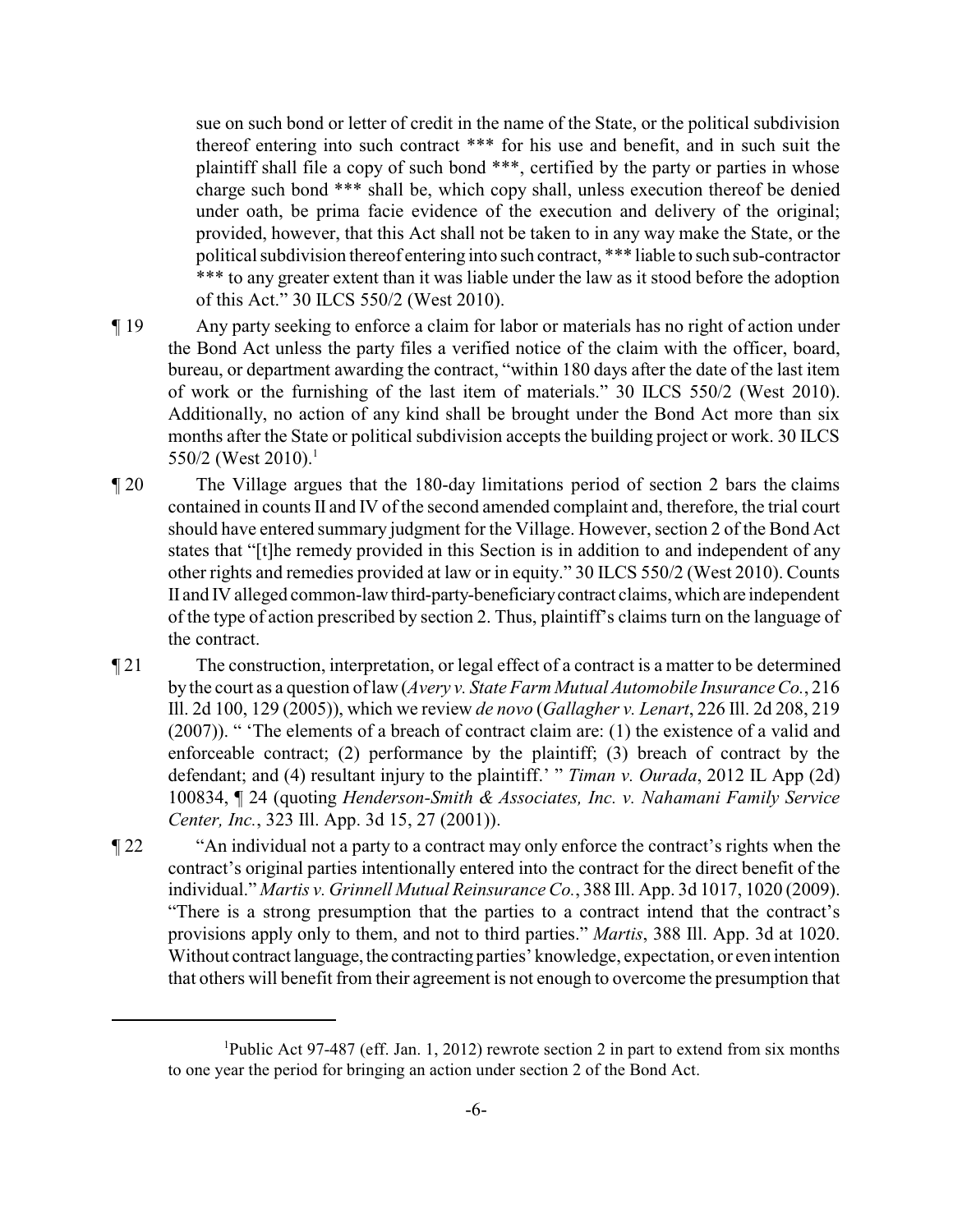sue on such bond or letter of credit in the name of the State, or the political subdivision thereof entering into such contract \*\*\* for his use and benefit, and in such suit the plaintiff shall file a copy of such bond \*\*\*, certified by the party or parties in whose charge such bond \*\*\* shall be, which copy shall, unless execution thereof be denied under oath, be prima facie evidence of the execution and delivery of the original; provided, however, that this Act shall not be taken to in any way make the State, or the political subdivision thereof entering into such contract, \*\*\* liable to such sub-contractor \*\*\* to any greater extent than it was liable under the law as it stood before the adoption of this Act." 30 ILCS 550/2 (West 2010).

- ¶ 19 Any party seeking to enforce a claim for labor or materials has no right of action under the Bond Act unless the party files a verified notice of the claim with the officer, board, bureau, or department awarding the contract, "within 180 days after the date of the last item of work or the furnishing of the last item of materials." 30 ILCS 550/2 (West 2010). Additionally, no action of any kind shall be brought under the Bond Act more than six months after the State or political subdivision accepts the building project or work. 30 ILCS 550/2 (West 2010).<sup>1</sup>
- ¶ 20 The Village argues that the 180-day limitations period of section 2 bars the claims contained in counts II and IV of the second amended complaint and, therefore, the trial court should have entered summary judgment for the Village. However, section 2 of the Bond Act states that "[t]he remedy provided in this Section is in addition to and independent of any other rights and remedies provided at law or in equity." 30 ILCS 550/2 (West 2010). Counts II and IV alleged common-lawthird-party-beneficiarycontract claims, which are independent of the type of action prescribed by section 2. Thus, plaintiff's claims turn on the language of the contract.
- ¶ 21 The construction, interpretation, or legal effect of a contract is a matter to be determined by the court as a question of law (*Avery v. State Farm Mutual Automobile InsuranceCo.*, 216 Ill. 2d 100, 129 (2005)), which we review *de novo* (*Gallagher v. Lenart*, 226 Ill. 2d 208, 219 (2007)). " 'The elements of a breach of contract claim are: (1) the existence of a valid and enforceable contract; (2) performance by the plaintiff; (3) breach of contract by the defendant; and (4) resultant injury to the plaintiff.' " *Timan v. Ourada*, 2012 IL App (2d) 100834, ¶ 24 (quoting *Henderson-Smith & Associates, Inc. v. Nahamani Family Service Center, Inc.*, 323 Ill. App. 3d 15, 27 (2001)).
- ¶ 22 "An individual not a party to a contract may only enforce the contract's rights when the contract's original parties intentionally entered into the contract for the direct benefit of the individual." *Martis v. Grinnell Mutual ReinsuranceCo.*, 388 Ill. App. 3d 1017, 1020 (2009). "There is a strong presumption that the parties to a contract intend that the contract's provisions apply only to them, and not to third parties." *Martis*, 388 Ill. App. 3d at 1020. Without contract language, the contracting parties' knowledge, expectation, or even intention that others will benefit from their agreement is not enough to overcome the presumption that

<sup>&</sup>lt;sup>1</sup>Public Act 97-487 (eff. Jan. 1, 2012) rewrote section 2 in part to extend from six months to one year the period for bringing an action under section 2 of the Bond Act.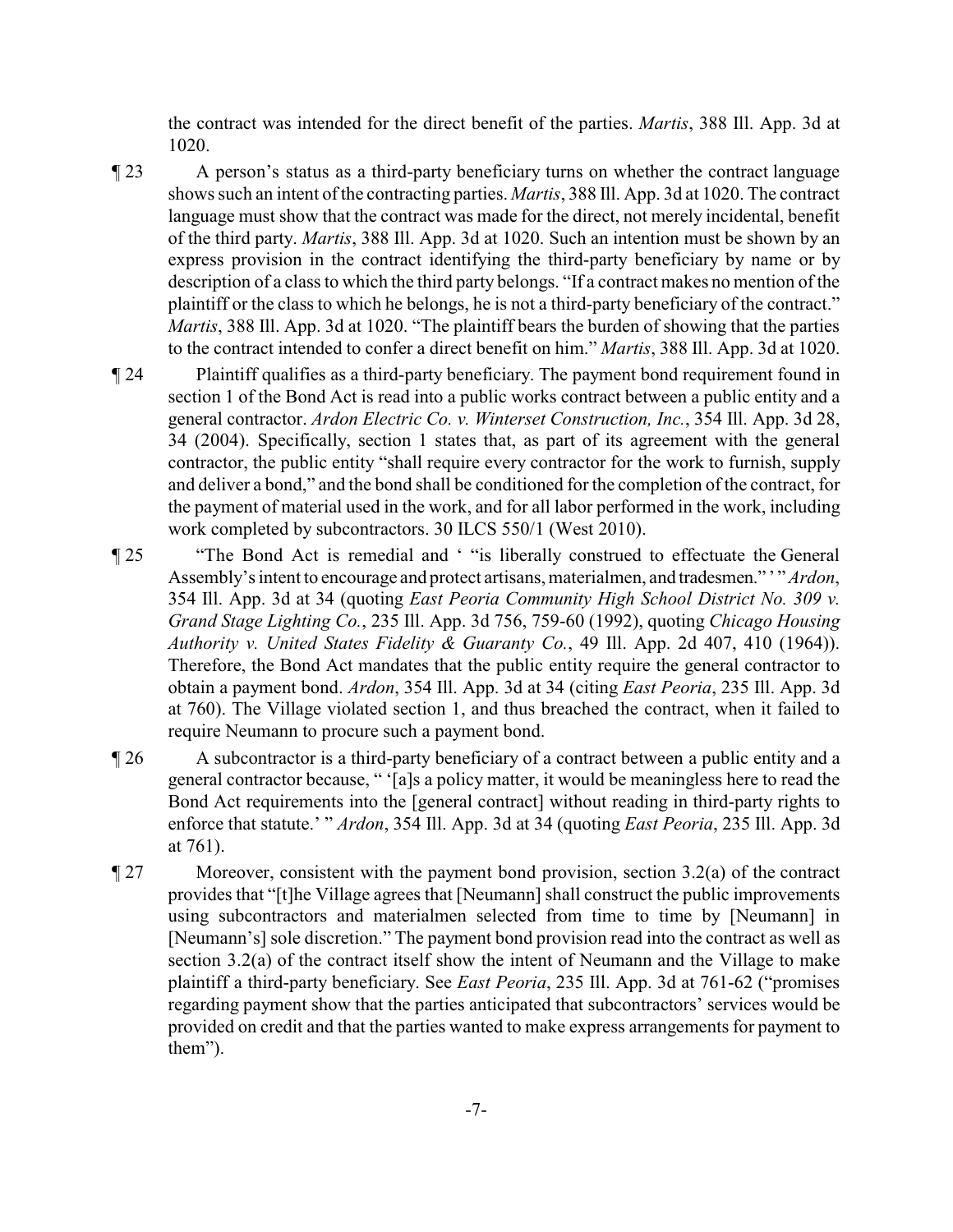the contract was intended for the direct benefit of the parties. *Martis*, 388 Ill. App. 3d at 1020.

- ¶ 23 A person's status as a third-party beneficiary turns on whether the contract language shows such an intent of the contracting parties. *Martis*, 388 Ill. App. 3d at 1020. The contract language must show that the contract was made for the direct, not merely incidental, benefit of the third party. *Martis*, 388 Ill. App. 3d at 1020. Such an intention must be shown by an express provision in the contract identifying the third-party beneficiary by name or by description of a class to which the third party belongs. "If a contract makes no mention of the plaintiff or the class to which he belongs, he is not a third-party beneficiary of the contract." *Martis*, 388 Ill. App. 3d at 1020. "The plaintiff bears the burden of showing that the parties to the contract intended to confer a direct benefit on him." *Martis*, 388 Ill. App. 3d at 1020.
- ¶ 24 Plaintiff qualifies as a third-party beneficiary. The payment bond requirement found in section 1 of the Bond Act is read into a public works contract between a public entity and a general contractor. *Ardon Electric Co. v. Winterset Construction, Inc.*, 354 Ill. App. 3d 28, 34 (2004). Specifically, section 1 states that, as part of its agreement with the general contractor, the public entity "shall require every contractor for the work to furnish, supply and deliver a bond," and the bond shall be conditioned for the completion of the contract, for the payment of material used in the work, and for all labor performed in the work, including work completed by subcontractors. 30 ILCS 550/1 (West 2010).
- ¶ 25 "The Bond Act is remedial and ' "is liberally construed to effectuate the General Assembly's intent to encourage and protect artisans, materialmen, and tradesmen." ' " *Ardon*, 354 Ill. App. 3d at 34 (quoting *East Peoria Community High School District No. 309 v. Grand Stage Lighting Co.*, 235 Ill. App. 3d 756, 759-60 (1992), quoting *Chicago Housing Authority v. United States Fidelity & Guaranty Co.*, 49 Ill. App. 2d 407, 410 (1964)). Therefore, the Bond Act mandates that the public entity require the general contractor to obtain a payment bond. *Ardon*, 354 Ill. App. 3d at 34 (citing *East Peoria*, 235 Ill. App. 3d at 760). The Village violated section 1, and thus breached the contract, when it failed to require Neumann to procure such a payment bond.
- ¶ 26 A subcontractor is a third-party beneficiary of a contract between a public entity and a general contractor because, " '[a]s a policy matter, it would be meaningless here to read the Bond Act requirements into the [general contract] without reading in third-party rights to enforce that statute.' " *Ardon*, 354 Ill. App. 3d at 34 (quoting *East Peoria*, 235 Ill. App. 3d at 761).
- ¶ 27 Moreover, consistent with the payment bond provision, section 3.2(a) of the contract provides that "[t]he Village agrees that [Neumann] shall construct the public improvements using subcontractors and materialmen selected from time to time by [Neumann] in [Neumann's] sole discretion." The payment bond provision read into the contract as well as section 3.2(a) of the contract itself show the intent of Neumann and the Village to make plaintiff a third-party beneficiary. See *East Peoria*, 235 Ill. App. 3d at 761-62 ("promises regarding payment show that the parties anticipated that subcontractors' services would be provided on credit and that the parties wanted to make express arrangements for payment to them").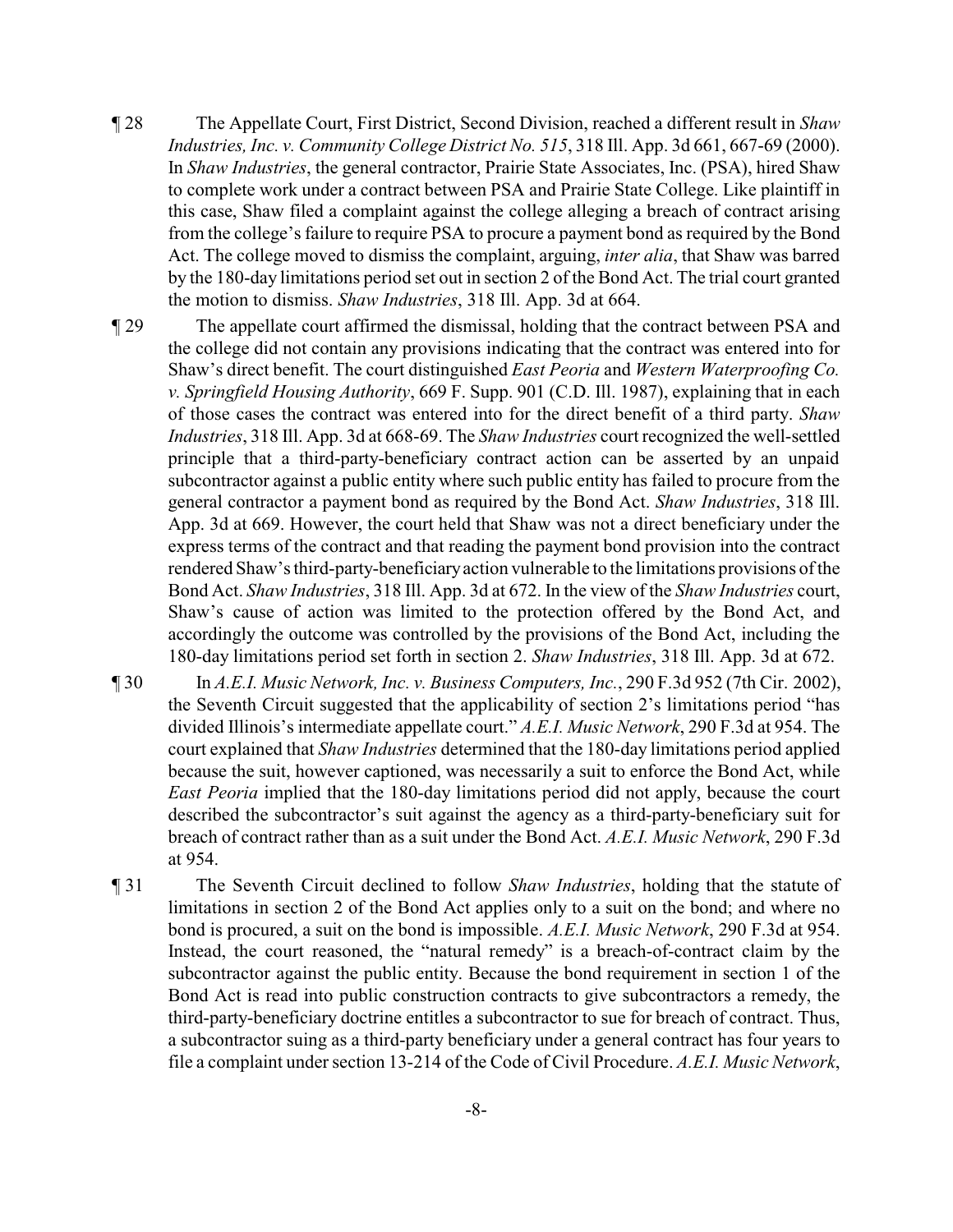- ¶ 28 The Appellate Court, First District, Second Division, reached a different result in *Shaw Industries, Inc. v. Community College District No. 515*, 318 Ill. App. 3d 661, 667-69 (2000). In *Shaw Industries*, the general contractor, Prairie State Associates, Inc. (PSA), hired Shaw to complete work under a contract between PSA and Prairie State College. Like plaintiff in this case, Shaw filed a complaint against the college alleging a breach of contract arising from the college's failure to require PSA to procure a payment bond as required by the Bond Act. The college moved to dismiss the complaint, arguing, *inter alia*, that Shaw was barred by the 180-day limitations period set out in section 2 of the Bond Act. The trial court granted the motion to dismiss. *Shaw Industries*, 318 Ill. App. 3d at 664.
- ¶ 29 The appellate court affirmed the dismissal, holding that the contract between PSA and the college did not contain any provisions indicating that the contract was entered into for Shaw's direct benefit. The court distinguished *East Peoria* and *Western Waterproofing Co. v. Springfield Housing Authority*, 669 F. Supp. 901 (C.D. Ill. 1987), explaining that in each of those cases the contract was entered into for the direct benefit of a third party. *Shaw Industries*, 318 Ill. App. 3d at 668-69. The *Shaw Industries* court recognized the well-settled principle that a third-party-beneficiary contract action can be asserted by an unpaid subcontractor against a public entity where such public entity has failed to procure from the general contractor a payment bond as required by the Bond Act. *Shaw Industries*, 318 Ill. App. 3d at 669. However, the court held that Shaw was not a direct beneficiary under the express terms of the contract and that reading the payment bond provision into the contract rendered Shaw's third-party-beneficiaryaction vulnerable to the limitations provisions of the Bond Act. *Shaw Industries*, 318 Ill. App. 3d at 672. In the view of the *Shaw Industries* court, Shaw's cause of action was limited to the protection offered by the Bond Act, and accordingly the outcome was controlled by the provisions of the Bond Act, including the 180-day limitations period set forth in section 2. *Shaw Industries*, 318 Ill. App. 3d at 672.
- ¶ 30 In *A.E.I. Music Network, Inc. v. Business Computers, Inc.*, 290 F.3d 952 (7th Cir. 2002), the Seventh Circuit suggested that the applicability of section 2's limitations period "has divided Illinois's intermediate appellate court." *A.E.I. Music Network*, 290 F.3d at 954. The court explained that *Shaw Industries* determined that the 180-day limitations period applied because the suit, however captioned, was necessarily a suit to enforce the Bond Act, while *East Peoria* implied that the 180-day limitations period did not apply, because the court described the subcontractor's suit against the agency as a third-party-beneficiary suit for breach of contract rather than as a suit under the Bond Act. *A.E.I. Music Network*, 290 F.3d at 954.
- ¶ 31 The Seventh Circuit declined to follow *Shaw Industries*, holding that the statute of limitations in section 2 of the Bond Act applies only to a suit on the bond; and where no bond is procured, a suit on the bond is impossible. *A.E.I. Music Network*, 290 F.3d at 954. Instead, the court reasoned, the "natural remedy" is a breach-of-contract claim by the subcontractor against the public entity. Because the bond requirement in section 1 of the Bond Act is read into public construction contracts to give subcontractors a remedy, the third-party-beneficiary doctrine entitles a subcontractor to sue for breach of contract. Thus, a subcontractor suing as a third-party beneficiary under a general contract has four years to file a complaint under section 13-214 of the Code of Civil Procedure. *A.E.I. Music Network*,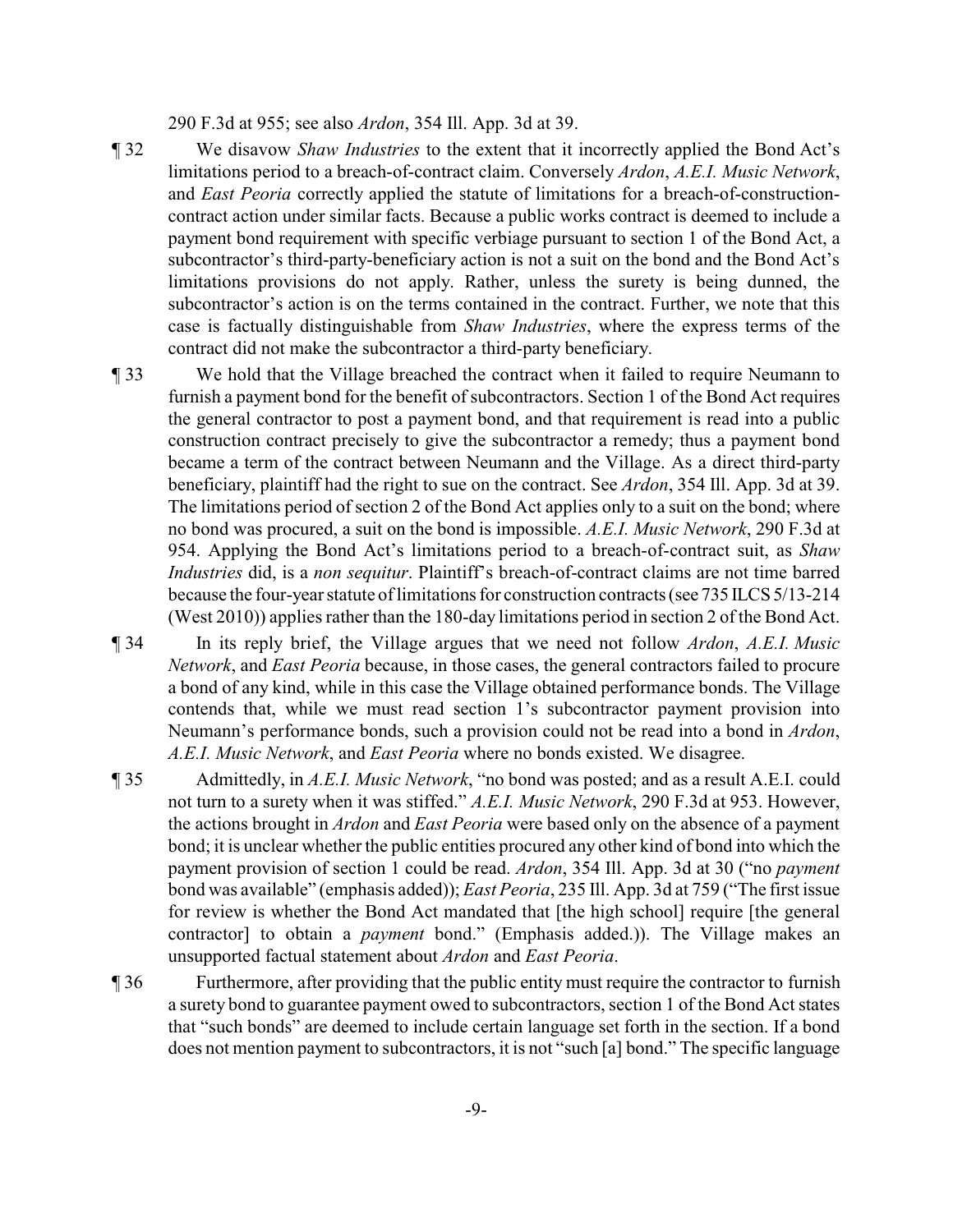290 F.3d at 955; see also *Ardon*, 354 Ill. App. 3d at 39.

- ¶ 32 We disavow *Shaw Industries* to the extent that it incorrectly applied the Bond Act's limitations period to a breach-of-contract claim. Conversely *Ardon*, *A.E.I. Music Network*, and *East Peoria* correctly applied the statute of limitations for a breach-of-constructioncontract action under similar facts. Because a public works contract is deemed to include a payment bond requirement with specific verbiage pursuant to section 1 of the Bond Act, a subcontractor's third-party-beneficiary action is not a suit on the bond and the Bond Act's limitations provisions do not apply. Rather, unless the surety is being dunned, the subcontractor's action is on the terms contained in the contract. Further, we note that this case is factually distinguishable from *Shaw Industries*, where the express terms of the contract did not make the subcontractor a third-party beneficiary.
- ¶ 33 We hold that the Village breached the contract when it failed to require Neumann to furnish a payment bond for the benefit of subcontractors. Section 1 of the Bond Act requires the general contractor to post a payment bond, and that requirement is read into a public construction contract precisely to give the subcontractor a remedy; thus a payment bond became a term of the contract between Neumann and the Village. As a direct third-party beneficiary, plaintiff had the right to sue on the contract. See *Ardon*, 354 Ill. App. 3d at 39. The limitations period of section 2 of the Bond Act applies only to a suit on the bond; where no bond was procured, a suit on the bond is impossible. *A.E.I. Music Network*, 290 F.3d at 954. Applying the Bond Act's limitations period to a breach-of-contract suit, as *Shaw Industries* did, is a *non sequitur*. Plaintiff's breach-of-contract claims are not time barred because the four-year statute of limitations for construction contracts (see 735 ILCS 5/13-214 (West 2010)) applies rather than the 180-day limitations period in section 2 of the Bond Act.
- ¶ 34 In its reply brief, the Village argues that we need not follow *Ardon*, *A.E.I. Music Network*, and *East Peoria* because, in those cases, the general contractors failed to procure a bond of any kind, while in this case the Village obtained performance bonds. The Village contends that, while we must read section 1's subcontractor payment provision into Neumann's performance bonds, such a provision could not be read into a bond in *Ardon*, *A.E.I. Music Network*, and *East Peoria* where no bonds existed. We disagree.
- ¶ 35 Admittedly, in *A.E.I. Music Network*, "no bond was posted; and as a result A.E.I. could not turn to a surety when it was stiffed." *A.E.I. Music Network*, 290 F.3d at 953. However, the actions brought in *Ardon* and *East Peoria* were based only on the absence of a payment bond; it is unclear whether the public entities procured any other kind of bond into which the payment provision of section 1 could be read. *Ardon*, 354 Ill. App. 3d at 30 ("no *payment* bond was available" (emphasis added)); *East Peoria*, 235 Ill. App. 3d at 759 ("The first issue for review is whether the Bond Act mandated that [the high school] require [the general contractor] to obtain a *payment* bond." (Emphasis added.)). The Village makes an unsupported factual statement about *Ardon* and *East Peoria*.
- ¶ 36 Furthermore, after providing that the public entity must require the contractor to furnish a surety bond to guarantee payment owed to subcontractors, section 1 of the Bond Act states that "such bonds" are deemed to include certain language set forth in the section. If a bond does not mention payment to subcontractors, it is not "such [a] bond." The specific language